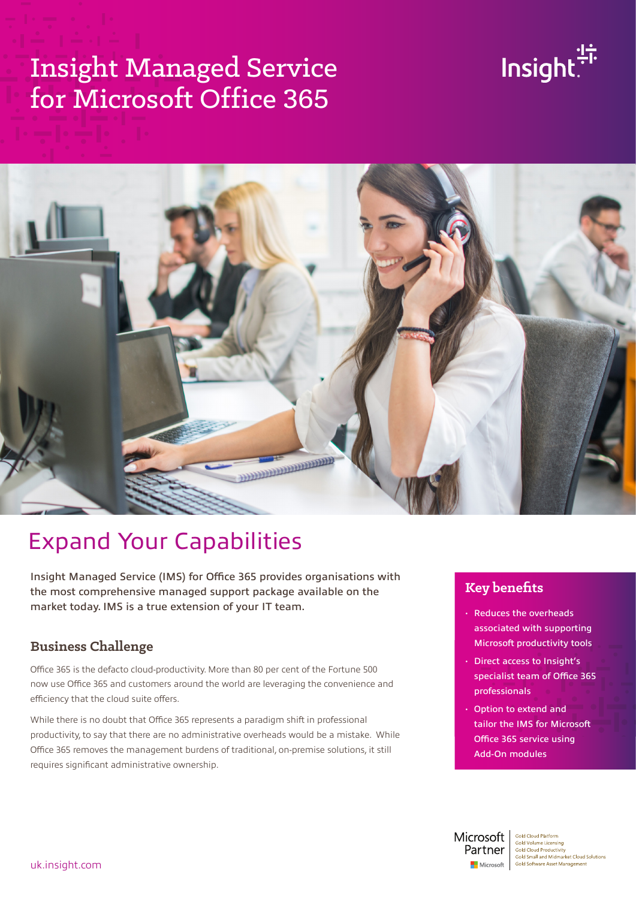# Insight Managed Service for Microsoft Office 365





## Expand Your Capabilities

Insight Managed Service (IMS) for Office 365 provides organisations with the most comprehensive managed support package available on the market today. IMS is a true extension of your IT team.

#### **Business Challenge**

Office 365 is the defacto cloud-productivity. More than 80 per cent of the Fortune 500 now use Office 365 and customers around the world are leveraging the convenience and efficiency that the cloud suite offers.

While there is no doubt that Office 365 represents a paradigm shift in professional productivity, to say that there are no administrative overheads would be a mistake. While Office 365 removes the management burdens of traditional, on-premise solutions, it still requires significant administrative ownership.

#### **Key benefits**

- Reduces the overheads associated with supporting Microsoft productivity tools
- Direct access to Insight's specialist team of Office 365  $\begin{array}{ccccc} \mathsf{professionals} & \circ & \bullet & \circ \end{array}$
- Option to extend and tailor the IMS for Microsoft Office 365 service using Add-On modules